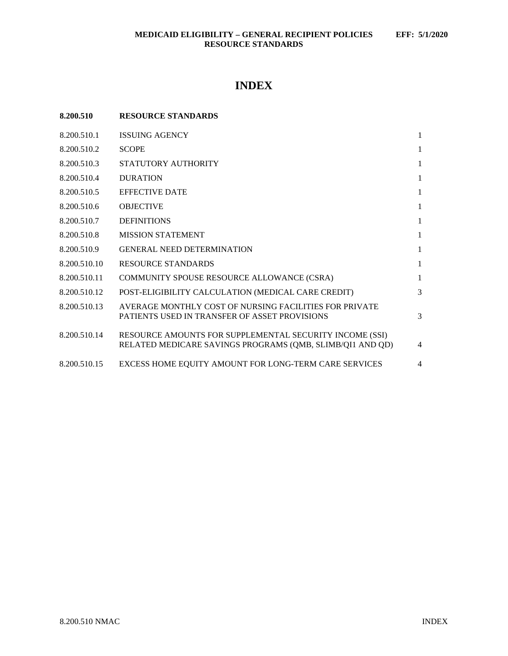# **INDEX**

| 8.200.510    | <b>RESOURCE STANDARDS</b>                                                                                            |                |
|--------------|----------------------------------------------------------------------------------------------------------------------|----------------|
| 8.200.510.1  | <b>ISSUING AGENCY</b>                                                                                                | $\mathbf{1}$   |
| 8.200.510.2  | <b>SCOPE</b>                                                                                                         | $\mathbf{1}$   |
| 8.200.510.3  | STATUTORY AUTHORITY                                                                                                  | $\mathbf{1}$   |
| 8.200.510.4  | <b>DURATION</b>                                                                                                      | $\mathbf{1}$   |
| 8.200.510.5  | <b>EFFECTIVE DATE</b>                                                                                                | $\mathbf{1}$   |
| 8.200.510.6  | <b>OBJECTIVE</b>                                                                                                     | $\mathbf{1}$   |
| 8.200.510.7  | <b>DEFINITIONS</b>                                                                                                   | $\mathbf{1}$   |
| 8.200.510.8  | <b>MISSION STATEMENT</b>                                                                                             | $\mathbf{1}$   |
| 8.200.510.9  | <b>GENERAL NEED DETERMINATION</b>                                                                                    | $\mathbf{1}$   |
| 8.200.510.10 | <b>RESOURCE STANDARDS</b>                                                                                            | $\mathbf{1}$   |
| 8.200.510.11 | COMMUNITY SPOUSE RESOURCE ALLOWANCE (CSRA)                                                                           | $\mathbf{1}$   |
| 8.200.510.12 | POST-ELIGIBILITY CALCULATION (MEDICAL CARE CREDIT)                                                                   | 3              |
| 8.200.510.13 | AVERAGE MONTHLY COST OF NURSING FACILITIES FOR PRIVATE<br>PATIENTS USED IN TRANSFER OF ASSET PROVISIONS              | $\mathcal{E}$  |
| 8.200.510.14 | RESOURCE AMOUNTS FOR SUPPLEMENTAL SECURITY INCOME (SSI)<br>RELATED MEDICARE SAVINGS PROGRAMS (QMB, SLIMB/QI1 AND QD) | $\overline{4}$ |
| 8.200.510.15 | EXCESS HOME EQUITY AMOUNT FOR LONG-TERM CARE SERVICES                                                                | $\overline{4}$ |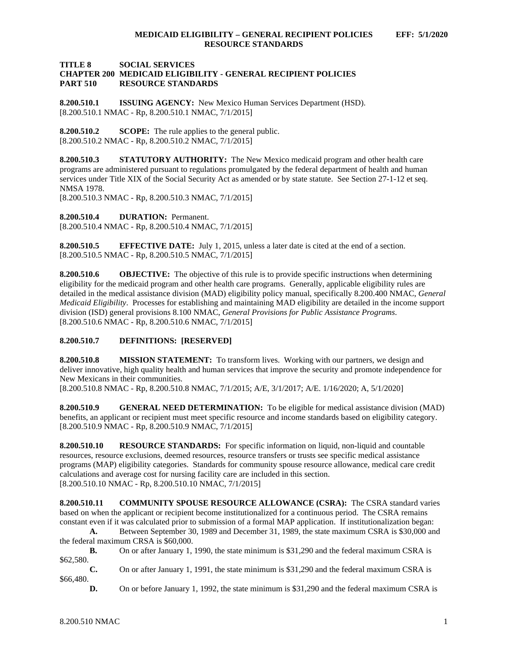### **TITLE 8 SOCIAL SERVICES CHAPTER 200 MEDICAID ELIGIBILITY - GENERAL RECIPIENT POLICIES PART 510 RESOURCE STANDARDS**

<span id="page-1-0"></span>**8.200.510.1 ISSUING AGENCY:** New Mexico Human Services Department (HSD). [8.200.510.1 NMAC - Rp, 8.200.510.1 NMAC, 7/1/2015]

<span id="page-1-1"></span>**8.200.510.2 SCOPE:** The rule applies to the general public. [8.200.510.2 NMAC - Rp, 8.200.510.2 NMAC, 7/1/2015]

<span id="page-1-2"></span>**8.200.510.3 STATUTORY AUTHORITY:** The New Mexico medicaid program and other health care programs are administered pursuant to regulations promulgated by the federal department of health and human services under Title XIX of the Social Security Act as amended or by state statute. See Section 27-1-12 et seq. NMSA 1978.

[8.200.510.3 NMAC - Rp, 8.200.510.3 NMAC, 7/1/2015]

<span id="page-1-3"></span>**8.200.510.4 DURATION:** Permanent. [8.200.510.4 NMAC - Rp, 8.200.510.4 NMAC, 7/1/2015]

<span id="page-1-4"></span>**8.200.510.5 EFFECTIVE DATE:** July 1, 2015, unless a later date is cited at the end of a section. [8.200.510.5 NMAC - Rp, 8.200.510.5 NMAC, 7/1/2015]

<span id="page-1-5"></span>**8.200.510.6 OBJECTIVE:** The objective of this rule is to provide specific instructions when determining eligibility for the medicaid program and other health care programs. Generally, applicable eligibility rules are detailed in the medical assistance division (MAD) eligibility policy manual, specifically 8.200.400 NMAC, *General Medicaid Eligibility*. Processes for establishing and maintaining MAD eligibility are detailed in the income support division (ISD) general provisions 8.100 NMAC, *General Provisions for Public Assistance Programs*. [8.200.510.6 NMAC - Rp, 8.200.510.6 NMAC, 7/1/2015]

# <span id="page-1-6"></span>**8.200.510.7 DEFINITIONS: [RESERVED]**

<span id="page-1-7"></span>**8.200.510.8 MISSION STATEMENT:** To transform lives. Working with our partners, we design and deliver innovative, high quality health and human services that improve the security and promote independence for New Mexicans in their communities.

[8.200.510.8 NMAC - Rp, 8.200.510.8 NMAC, 7/1/2015; A/E, 3/1/2017; A/E. 1/16/2020; A, 5/1/2020]

<span id="page-1-8"></span>**8.200.510.9 GENERAL NEED DETERMINATION:** To be eligible for medical assistance division (MAD) benefits, an applicant or recipient must meet specific resource and income standards based on eligibility category. [8.200.510.9 NMAC - Rp, 8.200.510.9 NMAC, 7/1/2015]

<span id="page-1-9"></span>**8.200.510.10 RESOURCE STANDARDS:** For specific information on liquid, non-liquid and countable resources, resource exclusions, deemed resources, resource transfers or trusts see specific medical assistance programs (MAP) eligibility categories. Standards for community spouse resource allowance, medical care credit calculations and average cost for nursing facility care are included in this section. [8.200.510.10 NMAC - Rp, 8.200.510.10 NMAC, 7/1/2015]

<span id="page-1-10"></span>**8.200.510.11 COMMUNITY SPOUSE RESOURCE ALLOWANCE (CSRA):** The CSRA standard varies based on when the applicant or recipient become institutionalized for a continuous period. The CSRA remains constant even if it was calculated prior to submission of a formal MAP application. If institutionalization began:

**A.** Between September 30, 1989 and December 31, 1989, the state maximum CSRA is \$30,000 and the federal maximum CRSA is \$60,000.

**B.** On or after January 1, 1990, the state minimum is \$31,290 and the federal maximum CSRA is  $$62,580.$  C.

**C.** On or after January 1, 1991, the state minimum is \$31,290 and the federal maximum CSRA is \$66,480.

**D.** On or before January 1, 1992, the state minimum is \$31,290 and the federal maximum CSRA is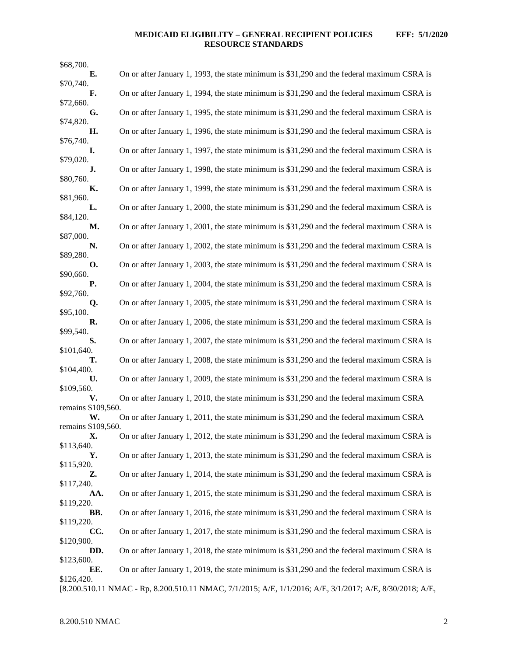# **MEDICAID ELIGIBILITY – GENERAL RECIPIENT POLICIES EFF: 5/1/2020 RESOURCE STANDARDS**

| \$68,700.                |                                                                                                          |
|--------------------------|----------------------------------------------------------------------------------------------------------|
| Е.                       | On or after January 1, 1993, the state minimum is \$31,290 and the federal maximum CSRA is               |
| \$70,740.<br>F.          | On or after January 1, 1994, the state minimum is \$31,290 and the federal maximum CSRA is               |
| \$72,660.                |                                                                                                          |
| G.<br>\$74,820.          | On or after January 1, 1995, the state minimum is \$31,290 and the federal maximum CSRA is               |
| Η.<br>\$76,740.          | On or after January 1, 1996, the state minimum is \$31,290 and the federal maximum CSRA is               |
| I.                       | On or after January 1, 1997, the state minimum is \$31,290 and the federal maximum CSRA is               |
| \$79,020.<br>J.          | On or after January 1, 1998, the state minimum is \$31,290 and the federal maximum CSRA is               |
| \$80,760.<br>К.          | On or after January 1, 1999, the state minimum is \$31,290 and the federal maximum CSRA is               |
| \$81,960.<br>L.          | On or after January 1, 2000, the state minimum is \$31,290 and the federal maximum CSRA is               |
| \$84,120.<br>М.          | On or after January 1, 2001, the state minimum is \$31,290 and the federal maximum CSRA is               |
| \$87,000.                |                                                                                                          |
| N.<br>\$89,280.          | On or after January 1, 2002, the state minimum is \$31,290 and the federal maximum CSRA is               |
| <b>O.</b><br>\$90,660.   | On or after January 1, 2003, the state minimum is \$31,290 and the federal maximum CSRA is               |
| Р.<br>\$92,760.          | On or after January 1, 2004, the state minimum is \$31,290 and the federal maximum CSRA is               |
| Q.<br>\$95,100.          | On or after January 1, 2005, the state minimum is \$31,290 and the federal maximum CSRA is               |
| R.                       | On or after January 1, 2006, the state minimum is \$31,290 and the federal maximum CSRA is               |
| \$99,540.<br>S.          | On or after January 1, 2007, the state minimum is \$31,290 and the federal maximum CSRA is               |
| \$101,640.<br>т.         | On or after January 1, 2008, the state minimum is \$31,290 and the federal maximum CSRA is               |
| \$104,400.<br>U.         | On or after January 1, 2009, the state minimum is \$31,290 and the federal maximum CSRA is               |
| \$109,560.               |                                                                                                          |
| V.<br>remains \$109,560. | On or after January 1, 2010, the state minimum is \$31,290 and the federal maximum CSRA                  |
| W.                       | On or after January 1, 2011, the state minimum is \$31,290 and the federal maximum CSRA                  |
| remains \$109,560.<br>Х. | On or after January 1, 2012, the state minimum is \$31,290 and the federal maximum CSRA is               |
| \$113,640.               |                                                                                                          |
| Υ.<br>\$115,920.         | On or after January 1, 2013, the state minimum is \$31,290 and the federal maximum CSRA is               |
| Z.<br>\$117,240.         | On or after January 1, 2014, the state minimum is \$31,290 and the federal maximum CSRA is               |
| AA.<br>\$119,220.        | On or after January 1, 2015, the state minimum is \$31,290 and the federal maximum CSRA is               |
| BB.                      | On or after January 1, 2016, the state minimum is \$31,290 and the federal maximum CSRA is               |
| \$119,220.<br>CC.        | On or after January 1, 2017, the state minimum is \$31,290 and the federal maximum CSRA is               |
| \$120,900.<br>DD.        | On or after January 1, 2018, the state minimum is \$31,290 and the federal maximum CSRA is               |
| \$123,600.<br>EE.        | On or after January 1, 2019, the state minimum is \$31,290 and the federal maximum CSRA is               |
| \$126,420.               |                                                                                                          |
|                          | [8.200.510.11 NMAC - Rp, 8.200.510.11 NMAC, 7/1/2015; A/E, 1/1/2016; A/E, 3/1/2017; A/E, 8/30/2018; A/E, |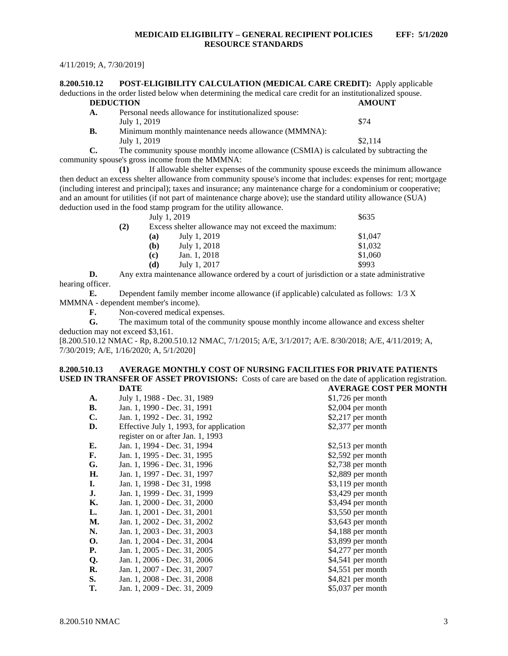#### 4/11/2019; A, 7/30/2019]

<span id="page-3-0"></span>**8.200.510.12 POST-ELIGIBILITY CALCULATION (MEDICAL CARE CREDIT):** Apply applicable deductions in the order listed below when determining the medical care credit for an institutionalized spouse. **DEDUCTION AMOUNT A.** Personal needs allowance for institutionalized spouse: July 1, 2019  $$74$ **B.** Minimum monthly maintenance needs allowance (MMMNA): July 1, 2019  $\frac{$2,114}{ }$ **C.** The community spouse monthly income allowance (CSMIA) is calculated by subtracting the

community spouse's gross income from the MMMNA: **(1)** If allowable shelter expenses of the community spouse exceeds the minimum allowance then deduct an excess shelter allowance from community spouse's income that includes: expenses for rent; mortgage (including interest and principal); taxes and insurance; any maintenance charge for a condominium or cooperative; and an amount for utilities (if not part of maintenance charge above); use the standard utility allowance (SUA) deduction used in the food stamp program for the utility allowance.  $J_{\text{ulv}}$  1, 2019

|     |                                                      | $J^{\text{U}}$ is $\sim$ | wuji    |
|-----|------------------------------------------------------|--------------------------|---------|
| (2) | Excess shelter allowance may not exceed the maximum: |                          |         |
|     | (a)                                                  | July 1, 2019             | \$1,047 |
|     | (b)                                                  | July 1, 2018             | \$1,032 |
|     | $\left( \mathbf{c} \right)$                          | Jan. 1, 2018             | \$1,060 |
|     | (d)                                                  | July 1, 2017             | \$993   |
|     |                                                      |                          |         |

**D.** Any extra maintenance allowance ordered by a court of jurisdiction or a state administrative hearing officer.

**E.** Dependent family member income allowance (if applicable) calculated as follows: 1/3 X MMMNA - dependent member's income).

**F.** Non-covered medical expenses.

**G.** The maximum total of the community spouse monthly income allowance and excess shelter deduction may not exceed \$3,161.

[8.200.510.12 NMAC - Rp, 8.200.510.12 NMAC, 7/1/2015; A/E, 3/1/2017; A/E. 8/30/2018; A/E, 4/11/2019; A, 7/30/2019; A/E, 1/16/2020; A, 5/1/2020]

#### <span id="page-3-1"></span>**8.200.510.13 AVERAGE MONTHLY COST OF NURSING FACILITIES FOR PRIVATE PATIENTS USED IN TRANSFER OF ASSET PROVISIONS:** Costs of care are based on the date of application registration.<br>DATE AVERAGE COST PER MONTH **DATE AVERAGE COST PER MONTH**

|                |                                         | 11 J PAVA VID COD 1 |
|----------------|-----------------------------------------|---------------------|
| A.             | July 1, 1988 - Dec. 31, 1989            | $$1,726$ per month  |
| В.             | Jan. 1, 1990 - Dec. 31, 1991            | \$2,004 per month   |
| $\mathbf{C}$ . | Jan. 1, 1992 - Dec. 31, 1992            | $$2,217$ per month  |
| D.             | Effective July 1, 1993, for application | \$2,377 per month   |
|                | register on or after Jan. 1, 1993       |                     |
| Е.             | Jan. 1, 1994 - Dec. 31, 1994            | $$2,513$ per month  |
| F.             | Jan. 1, 1995 - Dec. 31, 1995            | \$2,592 per month   |
| G.             | Jan. 1, 1996 - Dec. 31, 1996            | $$2,738$ per month  |
| Н.             | Jan. 1, 1997 - Dec. 31, 1997            | \$2,889 per month   |
| Ι.             | Jan. 1, 1998 - Dec 31, 1998             | $$3,119$ per month  |
| J.             | Jan. 1, 1999 - Dec. 31, 1999            | $$3,429$ per month  |
| К.             | Jan. 1, 2000 - Dec. 31, 2000            | $$3,494$ per month  |
| L.             | Jan. 1, 2001 - Dec. 31, 2001            | \$3,550 per month   |
| М.             | Jan. 1, 2002 - Dec. 31, 2002            | \$3,643 per month   |
| N.             | Jan. 1, 2003 - Dec. 31, 2003            | \$4,188 per month   |
| 0.             | Jan. 1, 2004 - Dec. 31, 2004            | $$3,899$ per month  |
| <b>P.</b>      | Jan. 1, 2005 - Dec. 31, 2005            | $$4,277$ per month  |
| Q.             | Jan. 1, 2006 - Dec. 31, 2006            | \$4,541 per month   |
| R.             | Jan. 1, 2007 - Dec. 31, 2007            | \$4,551 per month   |
| S.             | Jan. 1, 2008 - Dec. 31, 2008            | \$4,821 per month   |
| Т.             | Jan. 1, 2009 - Dec. 31, 2009            | \$5,037 per month   |
|                |                                         |                     |